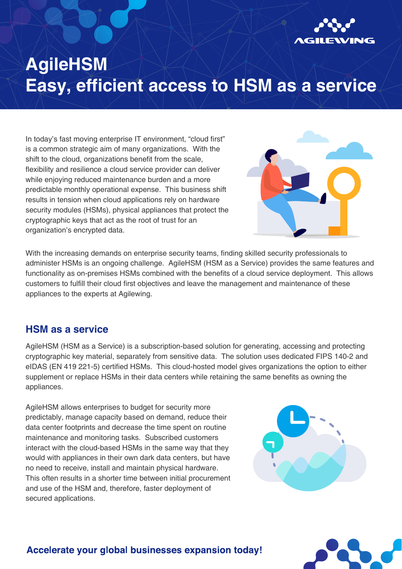

## **AgileHSM Easy, efficient access to HSM as a service**

In today's fast moving enterprise IT environment, "cloud first" is a common strategic aim of many organizations. With the shift to the cloud, organizations benefit from the scale, flexibility and resilience a cloud service provider can deliver while enjoying reduced maintenance burden and a more predictable monthly operational expense. This business shift results in tension when cloud applications rely on hardware security modules (HSMs), physical appliances that protect the cryptographic keys that act as the root of trust for an organization's encrypted data.



With the increasing demands on enterprise security teams, finding skilled security professionals to administer HSMs is an ongoing challenge. AgileHSM (HSM as a Service) provides the same features and functionality as on-premises HSMs combined with the benefits of a cloud service deployment. This allows customers to fulfill their cloud first objectives and leave the management and maintenance of these appliances to the experts at Agilewing.

#### **HSM as a service**

AgileHSM (HSM as a Service) is a subscription-based solution for generating, accessing and protecting cryptographic key material, separately from sensitive data. The solution uses dedicated FIPS 140-2 and eIDAS (EN 419 221-5) certified HSMs. This cloud-hosted model gives organizations the option to either supplement or replace HSMs in their data centers while retaining the same benefits as owning the appliances.

AgileHSM allows enterprises to budget for security more predictably, manage capacity based on demand, reduce their data center footprints and decrease the time spent on routine maintenance and monitoring tasks. Subscribed customers interact with the cloud-based HSMs in the same way that they would with appliances in their own dark data centers, but have no need to receive, install and maintain physical hardware. This often results in a shorter time between initial procurement and use of the HSM and, therefore, faster deployment of secured applications.





#### Accelerate your global businesses expansion today!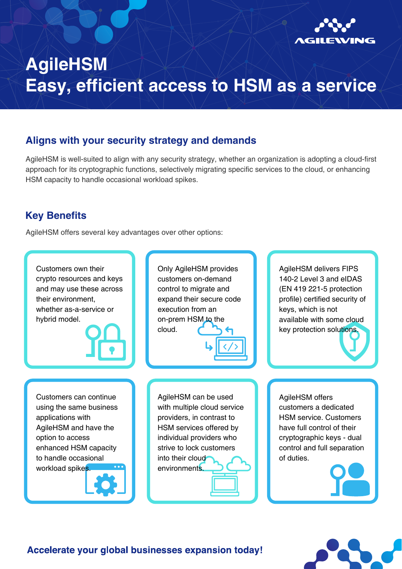

## **AgileHSM Easy, efficient access to HSM as a service**

### **Aligns with your security strategy and demands**

AgileHSM is well-suited to align with any security strategy, whether an organization is adopting a cloud-first approach for its cryptographic functions, selectively migrating specific services to the cloud, or enhancing HSM capacity to handle occasional workload spikes.

### **Key Benefits**

AgileHSM offers several key advantages over other options:

Customers own their crypto resources and keys and may use these across their environment, whether as-a-service or hybrid model.

Only AgileHSM provides customers on-demand control to migrate and expand their secure code execution from an on-prem HSM to the cloud.

AgileHSM delivers FIPS 140-2 Level 3 and eIDAS (EN 419 221-5 protection profile) certified security of keys, which is not available with some cloud key protection solutions

Customers can continue using the same business applications with AgileHSM and have the option to access enhanced HSM capacity to handle occasional workload spikes.

AgileHSM can be used with multiple cloud service providers, in contrast to HSM services offered by individual providers who strive to lock customers into their cloud environments.

AgileHSM offers customers a dedicated HSM service. Customers have full control of their cryptographic keys - dual control and full separation of duties.



#### Accelerate your global businesses expansion today!